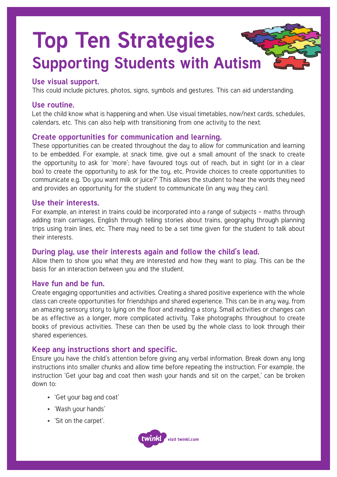# **Top Ten Strategies Supporting Students with Autism**

# **Use visual support.**

This could include pictures, photos, signs, symbols and gestures. This can aid understanding.

# **Use routine.**

Let the child know what is happening and when. Use visual timetables, now/next cards, schedules, calendars, etc. This can also help with transitioning from one activity to the next.

# **Create opportunities for communication and learning.**

These opportunities can be created throughout the day to allow for communication and learning to be embedded. For example, at snack time, give out a small amount of the snack to create the opportunity to ask for 'more'; have favoured toys out of reach, but in sight (or in a clear box) to create the opportunity to ask for the toy, etc. Provide choices to create opportunities to communicate e.g. 'Do you want milk or juice?' This allows the student to hear the words they need and provides an opportunity for the student to communicate (in any way they can).

## **Use their interests.**

For example, an interest in trains could be incorporated into a range of subjects – maths through adding train carriages, English through telling stories about trains, geography through planning trips using train lines, etc. There may need to be a set time given for the student to talk about their interests.

# **During play, use their interests again and follow the child's lead.**

Allow them to show you what they are interested and how they want to play. This can be the basis for an interaction between you and the student.

# **Have fun and be fun.**

Create engaging opportunities and activities. Creating a shared positive experience with the whole class can create opportunities for friendships and shared experience. This can be in any way, from an amazing sensory story to lying on the floor and reading a story. Small activities or changes can be as effective as a longer, more complicated activity. Take photographs throughout to create books of previous activities. These can then be used by the whole class to look through their shared experiences.

# **Keep any instructions short and specific.**

Ensure you have the child's attention before giving any verbal information. Break down any long instructions into smaller chunks and allow time before repeating the instruction. For example, the instruction 'Get your bag and coat then wash your hands and sit on the carpet,' can be broken down to:

- 'Get your bag and coat'
- 'Wash your hands'
- 'Sit on the carpet'.